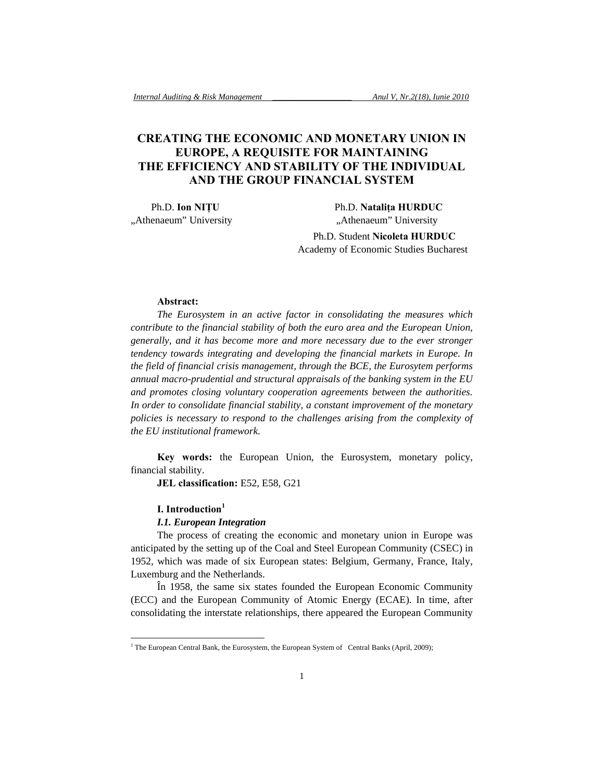# **CREATING THE ECONOMIC AND MONETARY UNION IN EUROPE, A REQUISITE FOR MAINTAINING THE EFFICIENCY AND STABILITY OF THE INDIVIDUAL AND THE GROUP FINANCIAL SYSTEM**

 Ph.D. **Ion NIŢU** Ph.D. **Nataliţa HURDUC**  "Athenaeum" University "Athenaeum" University

> Ph.D. Student **Nicoleta HURDUC**  Academy of Economic Studies Bucharest

### **Abstract:**

*The Eurosystem in an active factor in consolidating the measures which contribute to the financial stability of both the euro area and the European Union, generally, and it has become more and more necessary due to the ever stronger tendency towards integrating and developing the financial markets in Europe. In the field of financial crisis management, through the BCE, the Eurosytem performs annual macro-prudential and structural appraisals of the banking system in the EU and promotes closing voluntary cooperation agreements between the authorities. In order to consolidate financial stability, a constant improvement of the monetary policies is necessary to respond to the challenges arising from the complexity of the EU institutional framework.* 

**Key words:** the European Union, the Eurosystem, monetary policy, financial stability.

**JEL classification:** E52, E58, G21

### **I. Introduction<sup>1</sup>**

l

#### *I.1. European Integration*

The process of creating the economic and monetary union in Europe was anticipated by the setting up of the Coal and Steel European Community (CSEC) in 1952, which was made of six European states: Belgium, Germany, France, Italy, Luxemburg and the Netherlands.

În 1958, the same six states founded the European Economic Community (ECC) and the European Community of Atomic Energy (ECAE). In time, after consolidating the interstate relationships, there appeared the European Community

<sup>&</sup>lt;sup>1</sup> The European Central Bank, the Eurosystem, the European System of Central Banks (April, 2009);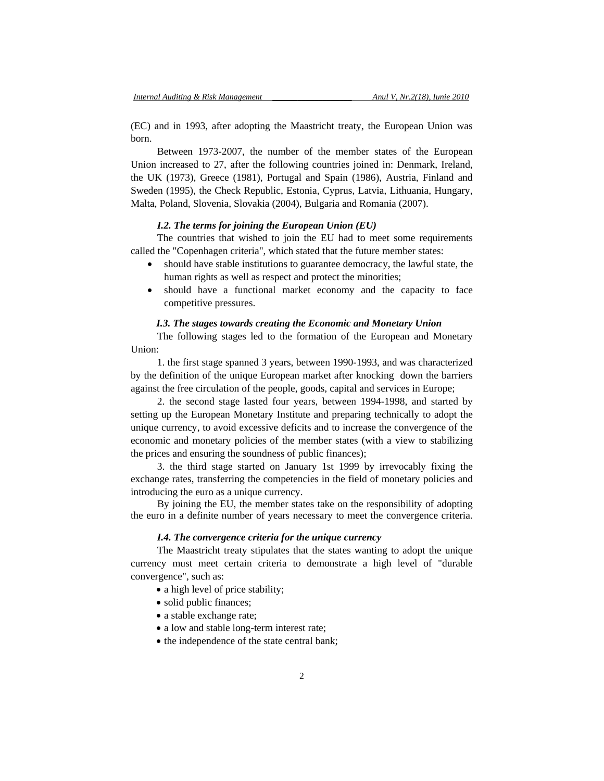(EC) and in 1993, after adopting the Maastricht treaty, the European Union was born.

Between 1973-2007, the number of the member states of the European Union increased to 27, after the following countries joined in: Denmark, Ireland, the UK (1973), Greece (1981), Portugal and Spain (1986), Austria, Finland and Sweden (1995), the Check Republic, Estonia, Cyprus, Latvia, Lithuania, Hungary, Malta, Poland, Slovenia, Slovakia (2004), Bulgaria and Romania (2007).

# *I.2. The terms for joining the European Union (EU)*

The countries that wished to join the EU had to meet some requirements called the "Copenhagen criteria", which stated that the future member states:

- should have stable institutions to guarantee democracy, the lawful state, the human rights as well as respect and protect the minorities;
- should have a functional market economy and the capacity to face competitive pressures.

## *I.3. The stages towards creating the Economic and Monetary Union*

The following stages led to the formation of the European and Monetary Union:

1. the first stage spanned 3 years, between 1990-1993, and was characterized by the definition of the unique European market after knocking down the barriers against the free circulation of the people, goods, capital and services in Europe;

2. the second stage lasted four years, between 1994-1998, and started by setting up the European Monetary Institute and preparing technically to adopt the unique currency, to avoid excessive deficits and to increase the convergence of the economic and monetary policies of the member states (with a view to stabilizing the prices and ensuring the soundness of public finances);

3. the third stage started on January 1st 1999 by irrevocably fixing the exchange rates, transferring the competencies in the field of monetary policies and introducing the euro as a unique currency.

By joining the EU, the member states take on the responsibility of adopting the euro in a definite number of years necessary to meet the convergence criteria.

### *I.4. The convergence criteria for the unique currency*

The Maastricht treaty stipulates that the states wanting to adopt the unique currency must meet certain criteria to demonstrate a high level of "durable convergence", such as:

- a high level of price stability;
- solid public finances;
- a stable exchange rate;
- a low and stable long-term interest rate;
- the independence of the state central bank;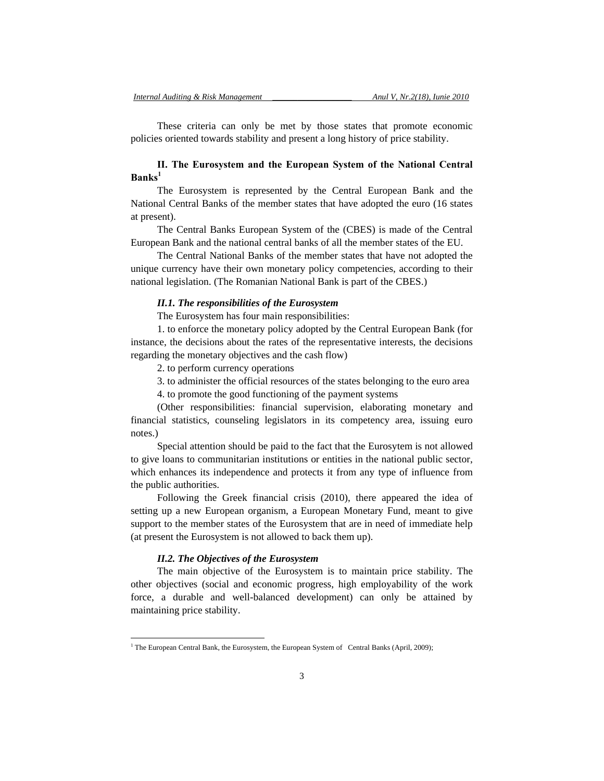These criteria can only be met by those states that promote economic policies oriented towards stability and present a long history of price stability.

# **II. The Eurosystem and the European System of the National Central Banks<sup>1</sup>**

The Eurosystem is represented by the Central European Bank and the National Central Banks of the member states that have adopted the euro (16 states at present).

The Central Banks European System of the (CBES) is made of the Central European Bank and the national central banks of all the member states of the EU.

The Central National Banks of the member states that have not adopted the unique currency have their own monetary policy competencies, according to their national legislation. (The Romanian National Bank is part of the CBES.)

### *II.1. The responsibilities of the Eurosystem*

The Eurosystem has four main responsibilities:

1. to enforce the monetary policy adopted by the Central European Bank (for instance, the decisions about the rates of the representative interests, the decisions regarding the monetary objectives and the cash flow)

2. to perform currency operations

3. to administer the official resources of the states belonging to the euro area

4. to promote the good functioning of the payment systems

(Other responsibilities: financial supervision, elaborating monetary and financial statistics, counseling legislators in its competency area, issuing euro notes.)

Special attention should be paid to the fact that the Eurosytem is not allowed to give loans to communitarian institutions or entities in the national public sector, which enhances its independence and protects it from any type of influence from the public authorities.

Following the Greek financial crisis (2010), there appeared the idea of setting up a new European organism, a European Monetary Fund, meant to give support to the member states of the Eurosystem that are in need of immediate help (at present the Eurosystem is not allowed to back them up).

#### *II.2. The Objectives of the Eurosystem*

l

The main objective of the Eurosystem is to maintain price stability. The other objectives (social and economic progress, high employability of the work force, a durable and well-balanced development) can only be attained by maintaining price stability.

<sup>&</sup>lt;sup>1</sup> The European Central Bank, the Eurosystem, the European System of Central Banks (April, 2009);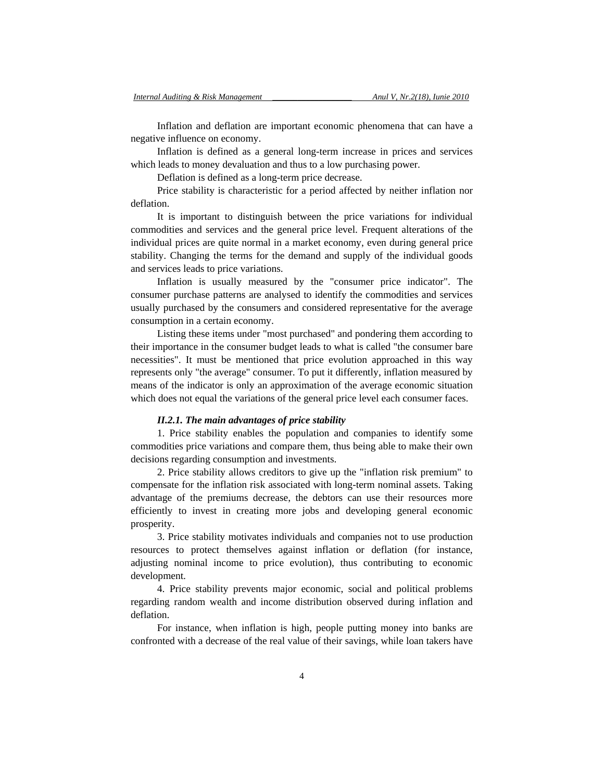Inflation and deflation are important economic phenomena that can have a negative influence on economy.

Inflation is defined as a general long-term increase in prices and services which leads to money devaluation and thus to a low purchasing power.

Deflation is defined as a long-term price decrease.

Price stability is characteristic for a period affected by neither inflation nor deflation.

It is important to distinguish between the price variations for individual commodities and services and the general price level. Frequent alterations of the individual prices are quite normal in a market economy, even during general price stability. Changing the terms for the demand and supply of the individual goods and services leads to price variations.

Inflation is usually measured by the "consumer price indicator". The consumer purchase patterns are analysed to identify the commodities and services usually purchased by the consumers and considered representative for the average consumption in a certain economy.

Listing these items under "most purchased" and pondering them according to their importance in the consumer budget leads to what is called "the consumer bare necessities". It must be mentioned that price evolution approached in this way represents only "the average" consumer. To put it differently, inflation measured by means of the indicator is only an approximation of the average economic situation which does not equal the variations of the general price level each consumer faces.

## *II.2.1. The main advantages of price stability*

1. Price stability enables the population and companies to identify some commodities price variations and compare them, thus being able to make their own decisions regarding consumption and investments.

2. Price stability allows creditors to give up the "inflation risk premium" to compensate for the inflation risk associated with long-term nominal assets. Taking advantage of the premiums decrease, the debtors can use their resources more efficiently to invest in creating more jobs and developing general economic prosperity.

3. Price stability motivates individuals and companies not to use production resources to protect themselves against inflation or deflation (for instance, adjusting nominal income to price evolution), thus contributing to economic development.

4. Price stability prevents major economic, social and political problems regarding random wealth and income distribution observed during inflation and deflation.

For instance, when inflation is high, people putting money into banks are confronted with a decrease of the real value of their savings, while loan takers have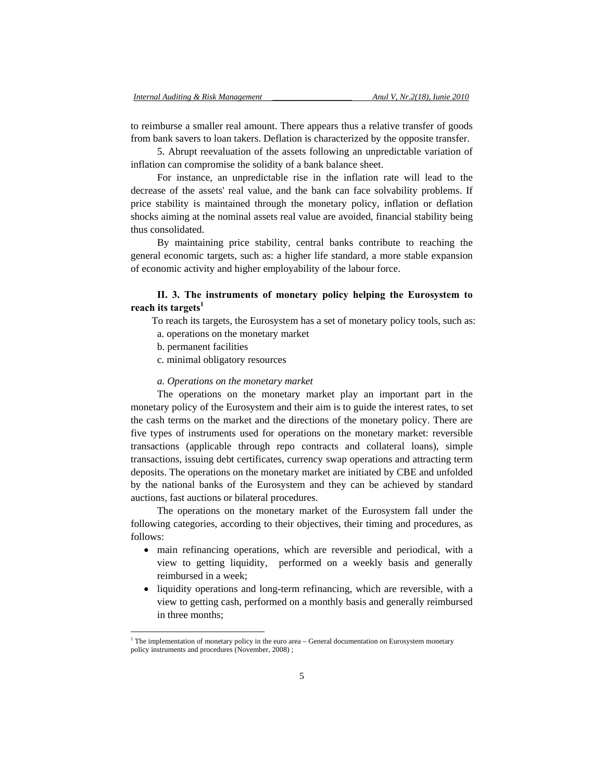to reimburse a smaller real amount. There appears thus a relative transfer of goods from bank savers to loan takers. Deflation is characterized by the opposite transfer.

5. Abrupt reevaluation of the assets following an unpredictable variation of inflation can compromise the solidity of a bank balance sheet.

For instance, an unpredictable rise in the inflation rate will lead to the decrease of the assets' real value, and the bank can face solvability problems. If price stability is maintained through the monetary policy, inflation or deflation shocks aiming at the nominal assets real value are avoided, financial stability being thus consolidated.

By maintaining price stability, central banks contribute to reaching the general economic targets, such as: a higher life standard, a more stable expansion of economic activity and higher employability of the labour force.

# **II. 3. The instruments of monetary policy helping the Eurosystem to reach its targets<sup>1</sup>**

To reach its targets, the Eurosystem has a set of monetary policy tools, such as:

- a. operations on the monetary market
- b. permanent facilities

l

c. minimal obligatory resources

### *a. Operations on the monetary market*

The operations on the monetary market play an important part in the monetary policy of the Eurosystem and their aim is to guide the interest rates, to set the cash terms on the market and the directions of the monetary policy. There are five types of instruments used for operations on the monetary market: reversible transactions (applicable through repo contracts and collateral loans), simple transactions, issuing debt certificates, currency swap operations and attracting term deposits. The operations on the monetary market are initiated by CBE and unfolded by the national banks of the Eurosystem and they can be achieved by standard auctions, fast auctions or bilateral procedures.

The operations on the monetary market of the Eurosystem fall under the following categories, according to their objectives, their timing and procedures, as follows:

- main refinancing operations, which are reversible and periodical, with a view to getting liquidity, performed on a weekly basis and generally reimbursed in a week;
- liquidity operations and long-term refinancing, which are reversible, with a view to getting cash, performed on a monthly basis and generally reimbursed in three months;

<sup>&</sup>lt;sup>1</sup> The implementation of monetary policy in the euro area – General documentation on Eurosystem monetary policy instruments and procedures (November, 2008) ;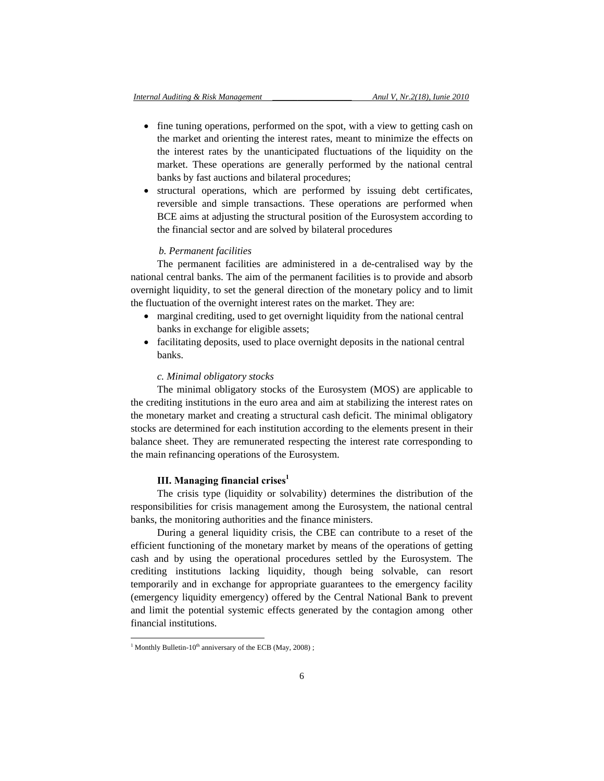- fine tuning operations, performed on the spot, with a view to getting cash on the market and orienting the interest rates, meant to minimize the effects on the interest rates by the unanticipated fluctuations of the liquidity on the market. These operations are generally performed by the national central banks by fast auctions and bilateral procedures;
- structural operations, which are performed by issuing debt certificates, reversible and simple transactions. These operations are performed when BCE aims at adjusting the structural position of the Eurosystem according to the financial sector and are solved by bilateral procedures

# *b. Permanent facilities*

The permanent facilities are administered in a de-centralised way by the national central banks. The aim of the permanent facilities is to provide and absorb overnight liquidity, to set the general direction of the monetary policy and to limit the fluctuation of the overnight interest rates on the market. They are:

- marginal crediting, used to get overnight liquidity from the national central banks in exchange for eligible assets;
- facilitating deposits, used to place overnight deposits in the national central banks.

## *c. Minimal obligatory stocks*

The minimal obligatory stocks of the Eurosystem (MOS) are applicable to the crediting institutions in the euro area and aim at stabilizing the interest rates on the monetary market and creating a structural cash deficit. The minimal obligatory stocks are determined for each institution according to the elements present in their balance sheet. They are remunerated respecting the interest rate corresponding to the main refinancing operations of the Eurosystem.

# **III. Managing financial crises**

The crisis type (liquidity or solvability) determines the distribution of the responsibilities for crisis management among the Eurosystem, the national central banks, the monitoring authorities and the finance ministers.

During a general liquidity crisis, the CBE can contribute to a reset of the efficient functioning of the monetary market by means of the operations of getting cash and by using the operational procedures settled by the Eurosystem. The crediting institutions lacking liquidity, though being solvable, can resort temporarily and in exchange for appropriate guarantees to the emergency facility (emergency liquidity emergency) offered by the Central National Bank to prevent and limit the potential systemic effects generated by the contagion among other financial institutions.

l

<sup>&</sup>lt;sup>1</sup> Monthly Bulletin-10<sup>th</sup> anniversary of the ECB (May, 2008);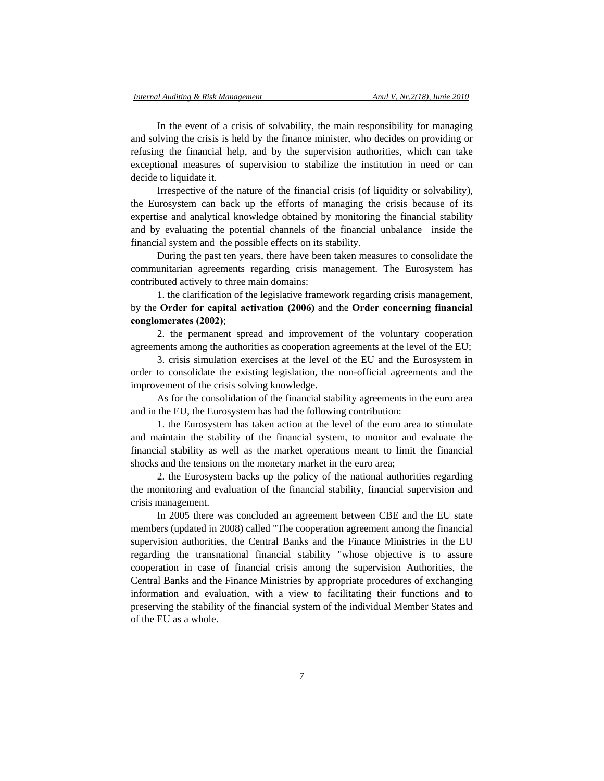In the event of a crisis of solvability, the main responsibility for managing and solving the crisis is held by the finance minister, who decides on providing or refusing the financial help, and by the supervision authorities, which can take exceptional measures of supervision to stabilize the institution in need or can decide to liquidate it.

Irrespective of the nature of the financial crisis (of liquidity or solvability), the Eurosystem can back up the efforts of managing the crisis because of its expertise and analytical knowledge obtained by monitoring the financial stability and by evaluating the potential channels of the financial unbalance inside the financial system and the possible effects on its stability.

During the past ten years, there have been taken measures to consolidate the communitarian agreements regarding crisis management. The Eurosystem has contributed actively to three main domains:

1. the clarification of the legislative framework regarding crisis management, by the **Order for capital activation (2006)** and the **Order concerning financial conglomerates (2002)**;

2. the permanent spread and improvement of the voluntary cooperation agreements among the authorities as cooperation agreements at the level of the EU;

3. crisis simulation exercises at the level of the EU and the Eurosystem in order to consolidate the existing legislation, the non-official agreements and the improvement of the crisis solving knowledge.

As for the consolidation of the financial stability agreements in the euro area and in the EU, the Eurosystem has had the following contribution:

1. the Eurosystem has taken action at the level of the euro area to stimulate and maintain the stability of the financial system, to monitor and evaluate the financial stability as well as the market operations meant to limit the financial shocks and the tensions on the monetary market in the euro area;

2. the Eurosystem backs up the policy of the national authorities regarding the monitoring and evaluation of the financial stability, financial supervision and crisis management.

In 2005 there was concluded an agreement between CBE and the EU state members (updated in 2008) called "The cooperation agreement among the financial supervision authorities, the Central Banks and the Finance Ministries in the EU regarding the transnational financial stability "whose objective is to assure cooperation in case of financial crisis among the supervision Authorities, the Central Banks and the Finance Ministries by appropriate procedures of exchanging information and evaluation, with a view to facilitating their functions and to preserving the stability of the financial system of the individual Member States and of the EU as a whole.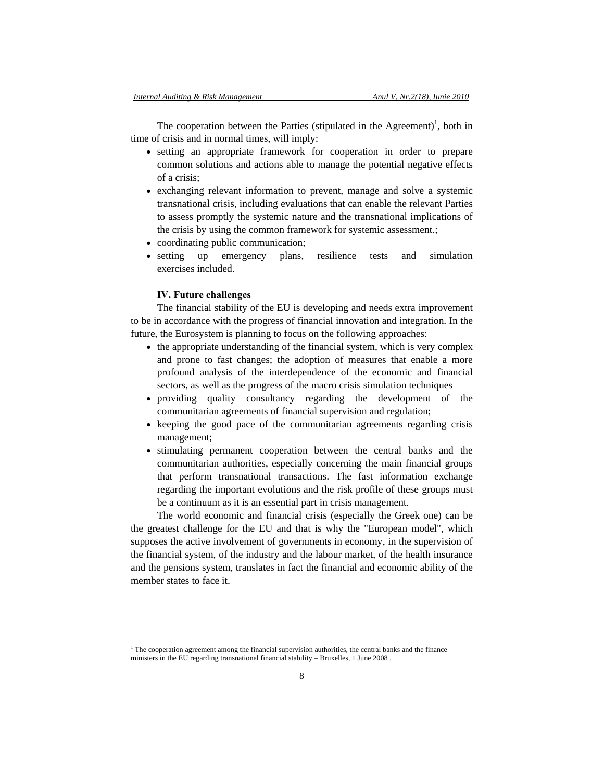The cooperation between the Parties (stipulated in the Agreement)<sup>1</sup>, both in time of crisis and in normal times, will imply:

- setting an appropriate framework for cooperation in order to prepare common solutions and actions able to manage the potential negative effects of a crisis;
- exchanging relevant information to prevent, manage and solve a systemic transnational crisis, including evaluations that can enable the relevant Parties to assess promptly the systemic nature and the transnational implications of the crisis by using the common framework for systemic assessment.;
- coordinating public communication;
- setting up emergency plans, resilience tests and simulation exercises included.

# **IV. Future challenges**

l

The financial stability of the EU is developing and needs extra improvement to be in accordance with the progress of financial innovation and integration. In the future, the Eurosystem is planning to focus on the following approaches:

- the appropriate understanding of the financial system, which is very complex and prone to fast changes; the adoption of measures that enable a more profound analysis of the interdependence of the economic and financial sectors, as well as the progress of the macro crisis simulation techniques
- providing quality consultancy regarding the development of the communitarian agreements of financial supervision and regulation;
- keeping the good pace of the communitarian agreements regarding crisis management;
- stimulating permanent cooperation between the central banks and the communitarian authorities, especially concerning the main financial groups that perform transnational transactions. The fast information exchange regarding the important evolutions and the risk profile of these groups must be a continuum as it is an essential part in crisis management.

The world economic and financial crisis (especially the Greek one) can be the greatest challenge for the EU and that is why the "European model", which supposes the active involvement of governments in economy, in the supervision of the financial system, of the industry and the labour market, of the health insurance and the pensions system, translates in fact the financial and economic ability of the member states to face it.

<sup>&</sup>lt;sup>1</sup> The cooperation agreement among the financial supervision authorities, the central banks and the finance ministers in the EU regarding transnational financial stability – Bruxelles, 1 June 2008 .